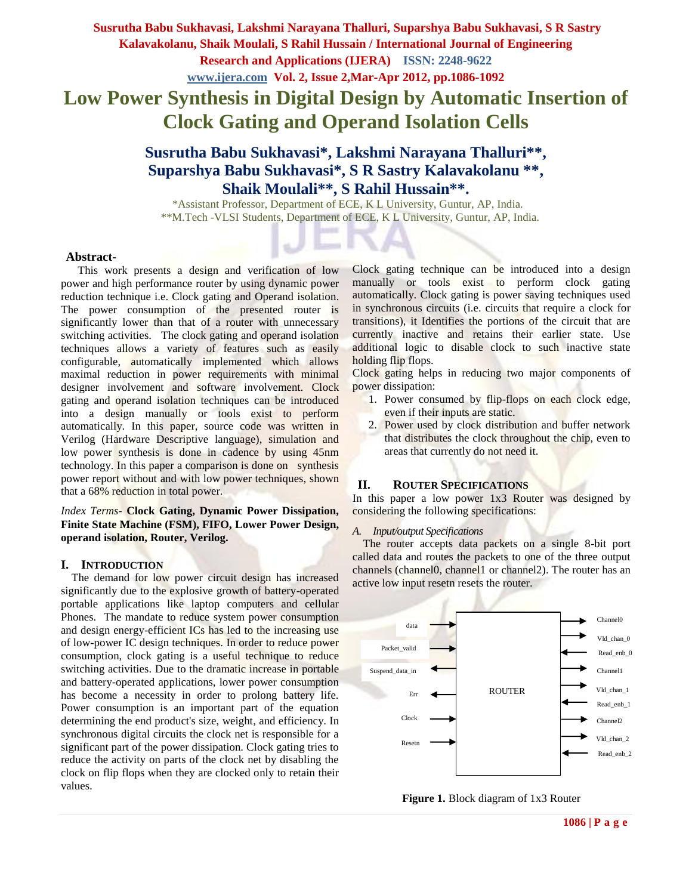# **Low Power Synthesis in Digital Design by Automatic Insertion of Clock Gating and Operand Isolation Cells**

# **Susrutha Babu Sukhavasi\*, Lakshmi Narayana Thalluri\*\*, Suparshya Babu Sukhavasi\*, S R Sastry Kalavakolanu \*\*, Shaik Moulali\*\*, S Rahil Hussain\*\*.**

 \*Assistant Professor, Department of ECE, K L University, Guntur, AP, India. \*\*M.Tech -VLSI Students, Department of ECE, K L University, Guntur, AP, India.

#### **Abstract-**

 This work presents a design and verification of low power and high performance router by using dynamic power reduction technique i.e. Clock gating and Operand isolation. The power consumption of the presented router is significantly lower than that of a router with unnecessary switching activities. The clock gating and operand isolation techniques allows a variety of features such as easily configurable, automatically implemented which allows maximal reduction in power requirements with minimal designer involvement and software involvement. Clock gating and operand isolation techniques can be introduced into a design manually or tools exist to perform automatically. In this paper, source code was written in Verilog (Hardware Descriptive language), simulation and low power synthesis is done in cadence by using 45nm technology. In this paper a comparison is done on synthesis power report without and with low power techniques, shown that a 68% reduction in total power.

*Index Terms-* **Clock Gating, Dynamic Power Dissipation, Finite State Machine (FSM), FIFO, Lower Power Design, operand isolation, Router, Verilog.** 

#### **I. INTRODUCTION**

The demand for low power circuit design has increased significantly due to the explosive growth of battery-operated portable applications like laptop computers and cellular Phones. The mandate to reduce system power consumption and design energy-efficient ICs has led to the increasing use of low-power IC design techniques. In order to reduce power consumption, clock gating is a useful technique to reduce switching activities. Due to the dramatic increase in portable and battery-operated applications, lower power consumption has become a necessity in order to prolong battery life. Power consumption is an important part of the equation determining the end product's size, weight, and efficiency. In synchronous digital circuits the clock net is responsible for a significant part of the power dissipation. Clock gating tries to reduce the activity on parts of the clock net by disabling the clock on flip flops when they are clocked only to retain their values.

Clock gating technique can be introduced into a design manually or tools exist to perform clock gating automatically. Clock gating is power saving techniques used in synchronous circuits (i.e. circuits that require a clock for transitions), it Identifies the portions of the circuit that are currently inactive and retains their earlier state. Use additional logic to disable clock to such inactive state holding flip flops.

Clock gating helps in reducing two major components of power dissipation:

- 1. Power consumed by flip-flops on each clock edge, even if their inputs are static.
- 2. Power used by clock distribution and buffer network that distributes the clock throughout the chip, even to areas that currently do not need it.

#### **II. ROUTER SPECIFICATIONS**

In this paper a low power 1x3 Router was designed by considering the following specifications:

#### *A. Input/output Specifications*

The router accepts data packets on a single 8-bit port called data and routes the packets to one of the three output channels (channel0, channel1 or channel2). The router has an active low input resetn resets the router.



**Figure 1.** Block diagram of 1x3 Router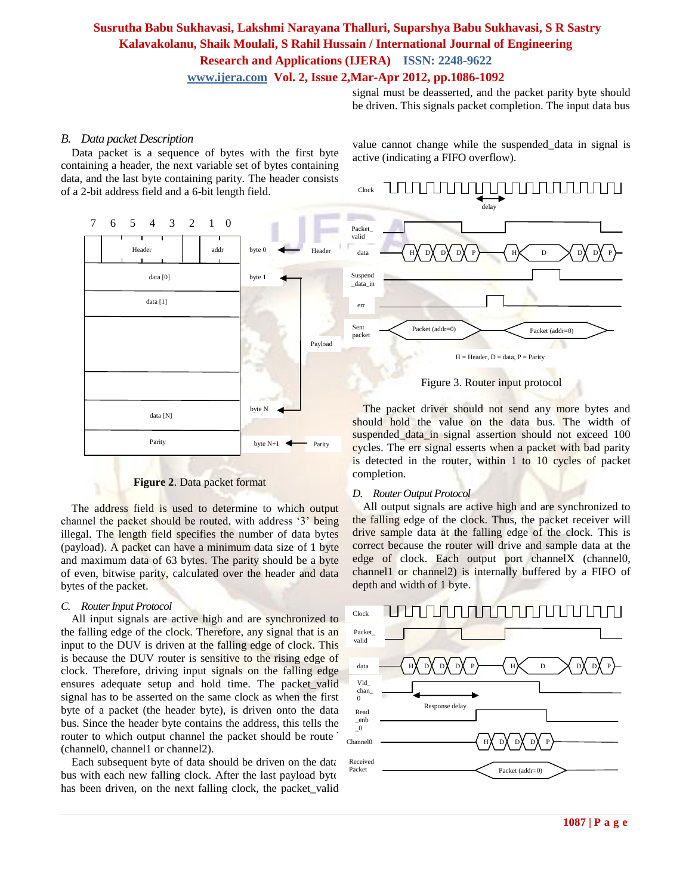signal must be deasserted, and the packet parity byte should be driven. This signals packet completion. The input data bus

#### *B. Data packet Description*

Data packet is a sequence of bytes with the first byte containing a header, the next variable set of bytes containing data, and the last byte containing parity. The header consists of a 2-bit address field and a 6-bit length field.



**Figure 2**. Data packet format

The address field is used to determine to which output channel the packet should be routed, with address "3" being illegal. The length field specifies the number of data bytes (payload). A packet can have a minimum data size of 1 byte and maximum data of 63 bytes. The parity should be a byte of even, bitwise parity, calculated over the header and data bytes of the packet.

#### *C. Router Input Protocol*

All input signals are active high and are synchronized to the falling edge of the clock. Therefore, any signal that is an input to the DUV is driven at the falling edge of clock. This is because the DUV router is sensitive to the rising edge of clock. Therefore, driving input signals on the falling edge ensures adequate setup and hold time. The packet\_valid signal has to be asserted on the same clock as when the first byte of a packet (the header byte), is driven onto the data bus. Since the header byte contains the address, this tells the router to which output channel the packet should be route (channel0, channel1 or channel2).

Each subsequent byte of data should be driven on the data bus with each new falling clock. After the last payload byte has been driven, on the next falling clock, the packet\_valid value cannot change while the suspended\_data in signal is active (indicating a FIFO overflow).



Figure 3. Router input protocol

The packet driver should not send any more bytes and should hold the value on the data bus. The width of suspended data in signal assertion should not exceed 100 cycles. The err signal esserts when a packet with bad parity is detected in the router, within 1 to 10 cycles of packet completion.

#### *D. Router Output Protocol*

All output signals are active high and are synchronized to the falling edge of the clock. Thus, the packet receiver will drive sample data at the falling edge of the clock. This is correct because the router will drive and sample data at the edge of clock. Each output port channelX (channel0, channel1 or channel2) is internally buffered by a FIFO of depth and width of 1 byte.

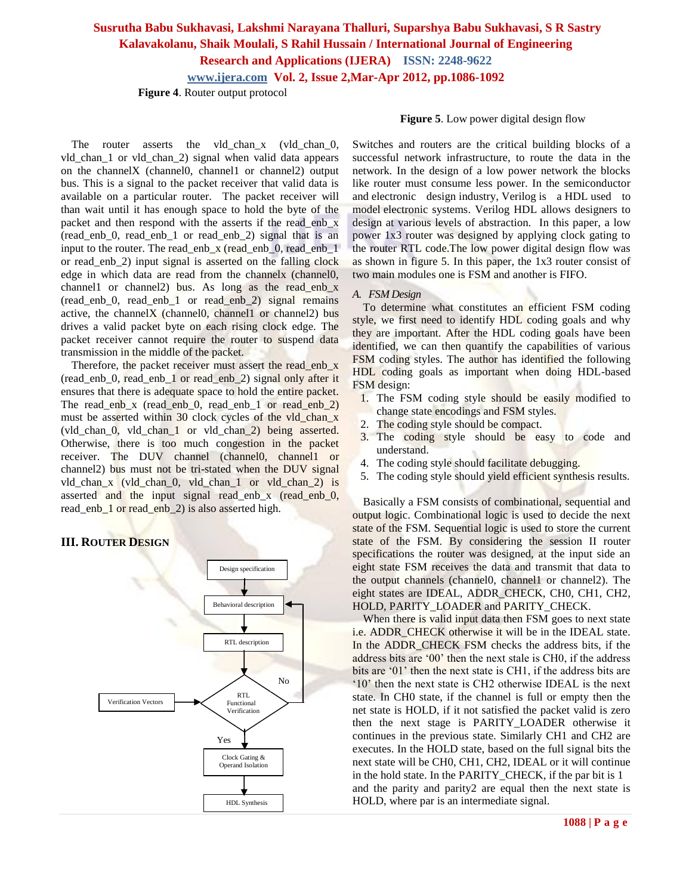### **Susrutha Babu Sukhavasi, Lakshmi Narayana Thalluri, Suparshya Babu Sukhavasi, S R Sastry Kalavakolanu, Shaik Moulali, S Rahil Hussain / International Journal of Engineering Research and Applications (IJERA) ISSN: 2248-9622**

**www.ijera.com Vol. 2, Issue 2,Mar-Apr 2012, pp.1086-1092**

 **Figure 4**. Router output protocol

The router asserts the vld\_chan\_x (vld\_chan\_0, vld\_chan\_1 or vld\_chan\_2) signal when valid data appears on the channelX (channel0, channel1 or channel2) output bus. This is a signal to the packet receiver that valid data is available on a particular router. The packet receiver will than wait until it has enough space to hold the byte of the packet and then respond with the asserts if the read\_enb\_x (read\_enb\_0, read\_enb\_1 or read\_enb\_2) signal that is an input to the router. The read enb  $x$  (read enb 0, read enb 1 or read\_enb\_2) input signal is asserted on the falling clock edge in which data are read from the channely (channel). channel1 or channel2) bus. As long as the read\_enb\_x (read\_enb\_0, read\_enb\_1 or read\_enb\_2) signal remains active, the channelX (channel0, channel1 or channel2) bus drives a valid packet byte on each rising clock edge. The packet receiver cannot require the router to suspend data transmission in the middle of the packet.

Therefore, the packet receiver must assert the read enb x (read enb 0, read enb 1 or read enb 2) signal only after it ensures that there is adequate space to hold the entire packet. The read\_enb\_x (read\_enb\_0, read\_enb\_1 or read\_enb\_2) must be asserted within 30 clock cycles of the vld\_chan\_x (vld\_chan\_0, vld\_chan\_1 or vld\_chan\_2) being asserted. Otherwise, there is too much congestion in the packet receiver. The DUV channel (channel0, channel1 or channel2) bus must not be tri-stated when the DUV signal vld\_chan\_x (vld\_chan\_0, vld\_chan\_1 or vld\_chan\_2) is asserted and the input signal read\_enb\_x (read\_enb\_0, read enb 1 or read enb 2) is also asserted high.

#### **III. ROUTER DESIGN**



#### **Figure 5**. Low power digital design flow

Switches and routers are the critical building blocks of a successful network infrastructure, to route the data in the network. In the design of a low power network the blocks like router must consume less power. In the semiconductor and [electronic design](http://en.wikipedia.org/wiki/Electronic_design_automation) industry, Verilog is a HDL used to model [electronic systems.](http://en.wikipedia.org/wiki/Electronics#Electronic_systems) Verilog HDL allows designers to design at various levels of abstraction. In this paper, a low power 1x3 router was designed by applying clock gating to the router RTL code.The low power digital design flow was as shown in figure 5. In this paper, the 1x3 router consist of two main modules one is FSM and another is FIFO.

#### *A. FSM Design*

To determine what constitutes an efficient FSM coding style, we first need to identify HDL coding goals and why they are important. After the HDL coding goals have been identified, we can then quantify the capabilities of various FSM coding styles. The author has identified the following HDL coding goals as important when doing HDL-based FSM design:

- 1. The FSM coding style should be easily modified to change state encodings and FSM styles.
- 2. The coding style should be compact.
- 3. The coding style should be easy to code and understand.
- 4. The coding style should facilitate debugging.
- 5. The coding style should yield efficient synthesis results.

Basically a FSM consists of combinational, sequential and output logic. Combinational logic is used to decide the next state of the FSM. Sequential logic is used to store the current state of the FSM. By considering the session II router specifications the router was designed, at the input side an eight state FSM receives the data and transmit that data to the output channels (channel0, channel1 or channel2). The eight states are IDEAL, ADDR\_CHECK, CH0, CH1, CH2, HOLD, PARITY\_LOADER and PARITY\_CHECK.

When there is valid input data then FSM goes to next state i.e. ADDR\_CHECK otherwise it will be in the IDEAL state. In the ADDR\_CHECK FSM checks the address bits, if the address bits are "00" then the next stale is CH0, if the address bits are '01' then the next state is CH1, if the address bits are "10" then the next state is CH2 otherwise IDEAL is the next state. In CH0 state, if the channel is full or empty then the net state is HOLD, if it not satisfied the packet valid is zero then the next stage is PARITY\_LOADER otherwise it continues in the previous state. Similarly CH1 and CH2 are executes. In the HOLD state, based on the full signal bits the next state will be CH0, CH1, CH2, IDEAL or it will continue in the hold state. In the PARITY CHECK, if the par bit is 1 and the parity and parity2 are equal then the next state is HOLD, where par is an intermediate signal.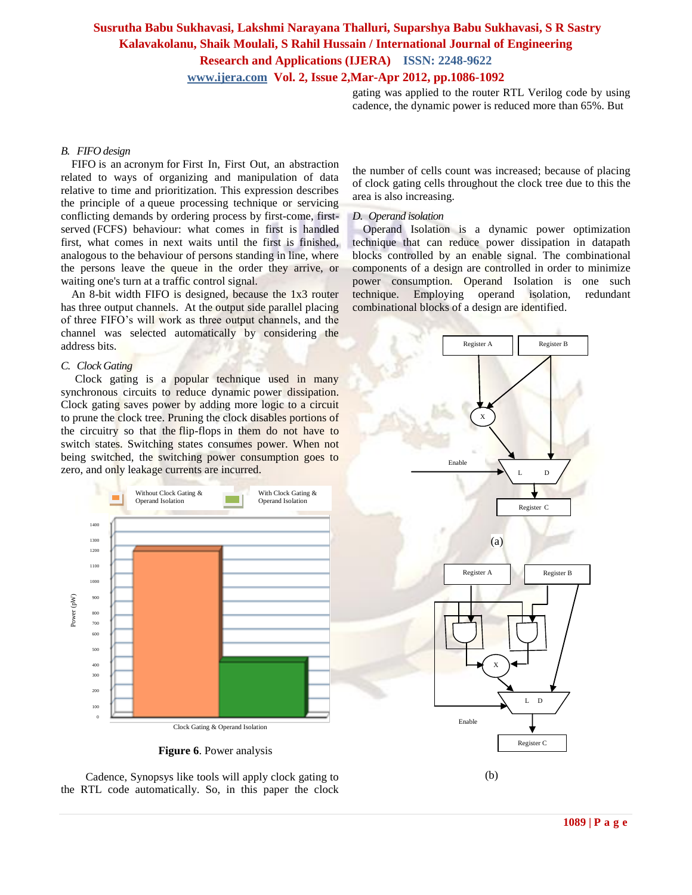gating was applied to the router RTL Verilog code by using cadence, the dynamic power is reduced more than 65%. But

#### *B. FIFO design*

FIFO is an [acronym](http://en.wikipedia.org/wiki/Acronym) for First In, First Out, an abstraction related to ways of organizing and manipulation of data relative to time and prioritization. This expression describes the principle of a queue processing technique or servicing conflicting demands by ordering process by [first-come, first](http://en.wikipedia.org/wiki/First-come,_first-served)[served](http://en.wikipedia.org/wiki/First-come,_first-served) (FCFS) behaviour: what comes in first is handled first, what comes in next waits until the first is finished, analogous to the behaviour of persons standing in line, where the persons leave the queue in the order they arrive, or waiting one's turn at a traffic control signal.

An 8-bit width FIFO is designed, because the 1x3 router has three output channels. At the output side parallel placing of three FIFO"s will work as three output channels, and the channel was selected automatically by considering the address bits.

#### *C. Clock Gating*

 Clock gating is a popular technique used in many synchronous circuits to reduce dynamic [power dissipation.](http://en.wikipedia.org/wiki/Power_dissipation) Clock gating saves power by adding more logic to a circuit to prune the [clock tree.](http://en.wikipedia.org/wiki/Clock_tree) Pruning the clock disables portions of the circuitry so that the [flip-flops](http://en.wikipedia.org/wiki/Flip-flop_(electronics)) in them do not have to switch states. Switching states consumes power. When not being switched, the switching power consumption goes to zero, and only [leakage currents](http://en.wikipedia.org/wiki/Leakage_(semiconductors)) are incurred.



 **Figure 6**. Power analysis

the number of cells count was increased; because of placing of clock gating cells throughout the clock tree due to this the area is also increasing.

#### *D. Operand isolation*

Operand Isolation is a dynamic power optimization technique that can reduce power dissipation in datapath blocks controlled by an enable signal. The combinational components of a design are controlled in order to minimize power consumption. Operand Isolation is one such technique. Employing operand isolation, redundant combinational blocks of a design are identified.



 Cadence, Synopsys like tools will apply clock gating to the RTL code automatically. So, in this paper the clock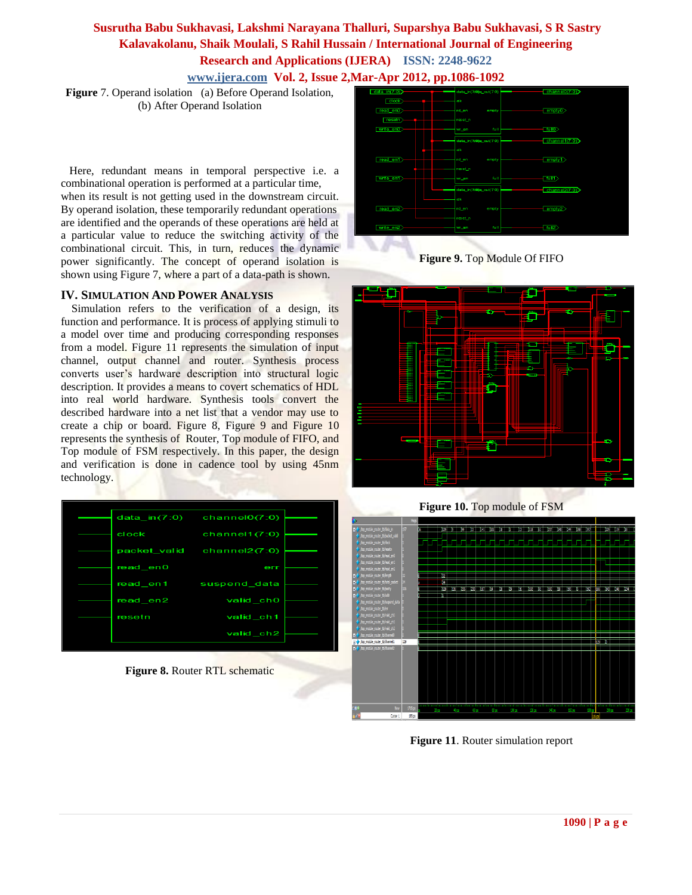**Figure** 7. Operand isolation (a) Before Operand Isolation, (b) After Operand Isolation

 Here, redundant means in temporal perspective i.e. a combinational operation is performed at a particular time, when its result is not getting used in the downstream circuit. By operand isolation, these temporarily redundant operations are identified and the operands of these operations are held at a particular value to reduce the switching activity of the combinational circuit. This, in turn, reduces the dynamic power significantly. The concept of operand isolation is shown using Figure 7, where a part of a data-path is shown.

#### **IV. SIMULATION AND POWER ANALYSIS**

Simulation refers to the verification of a design, its function and performance. It is process of applying stimuli to a model over time and producing corresponding responses from a model. Figure 11 represents the simulation of input channel, output channel and router. Synthesis process converts user's hardware description into structural logic description. It provides a means to covert schematics of HDL into real world hardware. Synthesis tools convert the described hardware into a net list that a vendor may use to create a chip or board. Figure 8, Figure 9 and Figure 10 represents the synthesis of Router, Top module of FIFO, and Top module of FSM respectively. In this paper, the design and verification is done in cadence tool by using 45nm technology.



**Figure 8.** Router RTL schematic



**Figure 9.** Top Module Of FIFO



**Figure 10.** Top module of FSM



**Figure 11**. Router simulation report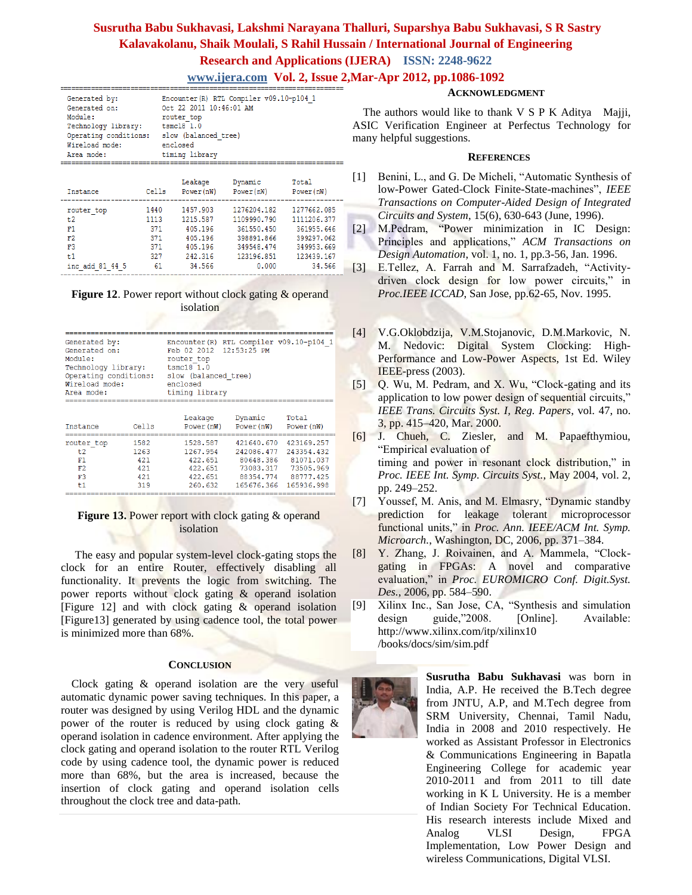# **Susrutha Babu Sukhavasi, Lakshmi Narayana Thalluri, Suparshya Babu Sukhavasi, S R Sastry Kalavakolanu, Shaik Moulali, S Rahil Hussain / International Journal of Engineering Research and Applications (IJERA) ISSN: 2248-9622**

**www.ijera.com Vol. 2, Issue 2,Mar-Apr 2012, pp.1086-1092**

| Generated by:         | Encounter (R) RTL Compiler v09.10-p104 1 |
|-----------------------|------------------------------------------|
| Generated on:         | Oct 22 2011 10:46:01 AM                  |
| Module:               | router top                               |
| Technology library:   | $tsmc18$ 1.0                             |
| Operating conditions: | slow (balanced tree)                     |
| Wireload mode:        | enclosed                                 |
| Area mode:            | timing library                           |
|                       |                                          |

| Instance                                 | Cells                                    | Leakage<br>Power(nW)                                             | Dynamic<br>Power(nW)                                                               | Total<br>Power(nW)                                                                 |  |
|------------------------------------------|------------------------------------------|------------------------------------------------------------------|------------------------------------------------------------------------------------|------------------------------------------------------------------------------------|--|
| router top<br>t2<br>F1<br>F2<br>F3<br>t1 | 1440<br>1113<br>371<br>371<br>371<br>327 | 1457.903<br>1215.587<br>405.196<br>405.196<br>405.196<br>242.316 | 1276204.182<br>1109990.790<br>361550.450<br>398891.866<br>349548.474<br>123196.851 | 1277662.085<br>1111206.377<br>361955.646<br>399297.062<br>349953.669<br>123439.167 |  |
| inc add 81 44 5                          | 61                                       | 34.566                                                           | 0.000                                                                              | 34.566                                                                             |  |

**Figure 12.** Power report without clock gating & operand isolation

| Generated by:<br>Generated on:<br>Module:<br>Technology library:<br>Operating conditions:<br>Wireload mode:<br>Area mode: |       | Encounter (R) RTL Compiler v09.10-p104 1<br>Feb 02 2012 12:53:25 PM<br>router top<br>tsmc181.0<br>slow (balanced tree)<br>enclosed<br>timing library |                       |                     |  |
|---------------------------------------------------------------------------------------------------------------------------|-------|------------------------------------------------------------------------------------------------------------------------------------------------------|-----------------------|---------------------|--|
| Instance                                                                                                                  | Cells | Leakage<br>Power (nW)                                                                                                                                | Dynamic<br>Power (nW) | Total<br>Power (nW) |  |
| router top                                                                                                                | 1582  | 1528.587                                                                                                                                             | 421640.670            | 423169.257          |  |
| t2                                                                                                                        | 1263  | 1267.954                                                                                                                                             | 242086.477            | 243354.432          |  |
| F1                                                                                                                        | 421   | 422.651                                                                                                                                              | 80648.386             | 81071.037           |  |
| F2                                                                                                                        | 421   | 422.651                                                                                                                                              | 73083.317             | 73505.969           |  |
| F <sub>3</sub>                                                                                                            | 421   | 422,651                                                                                                                                              | 88354.774             | 88777.425           |  |

#### **Figure 13.** Power report with clock gating & operand isolation

260.632

165676.366 165936.998

 $t1$ 

319

 The easy and popular system-level clock-gating stops the clock for an entire Router, effectively disabling all functionality. It prevents the logic from switching. The power reports without clock gating & operand isolation [Figure 12] and with clock gating & operand isolation [Figure13] generated by using cadence tool, the total power is minimized more than 68%.

#### **CONCLUSION**

Clock gating & operand isolation are the very useful automatic dynamic power saving techniques. In this paper, a router was designed by using Verilog HDL and the dynamic power of the router is reduced by using clock gating & operand isolation in cadence environment. After applying the clock gating and operand isolation to the router RTL Verilog code by using cadence tool, the dynamic power is reduced more than 68%, but the area is increased, because the insertion of clock gating and operand isolation cells throughout the clock tree and data-path.

#### **ACKNOWLEDGMENT**

The authors would like to thank V S P K Aditya Majji, ASIC Verification Engineer at Perfectus Technology for many helpful suggestions.

#### **REFERENCES**

- [1] Benini, L., and G. De Micheli, "Automatic Synthesis of low-Power Gated-Clock Finite-State-machines", *IEEE Transactions on Computer-Aided Design of Integrated Circuits and System*, 15(6), 630-643 (June, 1996).
- [2] M.Pedram, "Power minimization in IC Design: Principles and applications," *ACM Transactions on Design Automation*, vol. 1, no. 1, pp.3-56, Jan. 1996.
- [3] E.Tellez, A. Farrah and M. Sarrafzadeh, "Activitydriven clock design for low power circuits," in *Proc.IEEE ICCAD*, San Jose, pp.62-65, Nov. 1995.
- [4] V.G.Oklobdzija, V.M.Stojanovic, D.M.Markovic, N. M. Nedovic: Digital System Clocking: High-Performance and Low-Power Aspects, 1st Ed. Wiley **IEEE-press** (2003).
- [5] Q. Wu, M. Pedram, and X. Wu, "Clock-gating and its application to low power design of sequential circuits," *IEEE Trans. Circuits Syst. I, Reg. Papers*, vol. 47, no. 3, pp. 415–420, Mar. 2000.
- [6] J. Chueh, C. Ziesler, and M. Papaefthymiou, "Empirical evaluation of timing and power in resonant clock distribution," in *Proc. IEEE Int. Symp. Circuits Syst.*, May 2004, vol. 2, pp. 249–252.
- [7] Youssef, M. Anis, and M. Elmasry, "Dynamic standby prediction for leakage tolerant microprocessor functional units," in *Proc. Ann. IEEE/ACM Int. Symp. Microarch.*, Washington, DC, 2006, pp. 371–384.
- [8] Y. Zhang, J. Roivainen, and A. Mammela, "Clockgating in FPGAs: A novel and comparative evaluation," in *Proc. EUROMICRO Conf. Digit.Syst. Des.*, 2006, pp. 584–590.
- [9] Xilinx Inc., San Jose, CA, "Synthesis and simulation design guide,"2008. [Online]. Available: [http://www.xilinx.com/itp/xilinx10](http://www.xilinx.com/itp/xilinx10%20/books/docs/sim/sim.pdf)  [/books/docs/sim/sim.pdf](http://www.xilinx.com/itp/xilinx10%20/books/docs/sim/sim.pdf)



His research interests include Mixed and **Susrutha Babu Sukhavasi** was born in India, A.P. He received the B.Tech degree from JNTU, A.P, and M.Tech degree from SRM University, Chennai, Tamil Nadu, India in 2008 and 2010 respectively. He worked as Assistant Professor in Electronics & Communications Engineering in Bapatla Engineering College for academic year 2010-2011 and from 2011 to till date working in K L University. He is a member of Indian Society For Technical Education. Analog VLSI Design, FPGA Implementation, Low Power Design and wireless Communications, Digital VLSI.